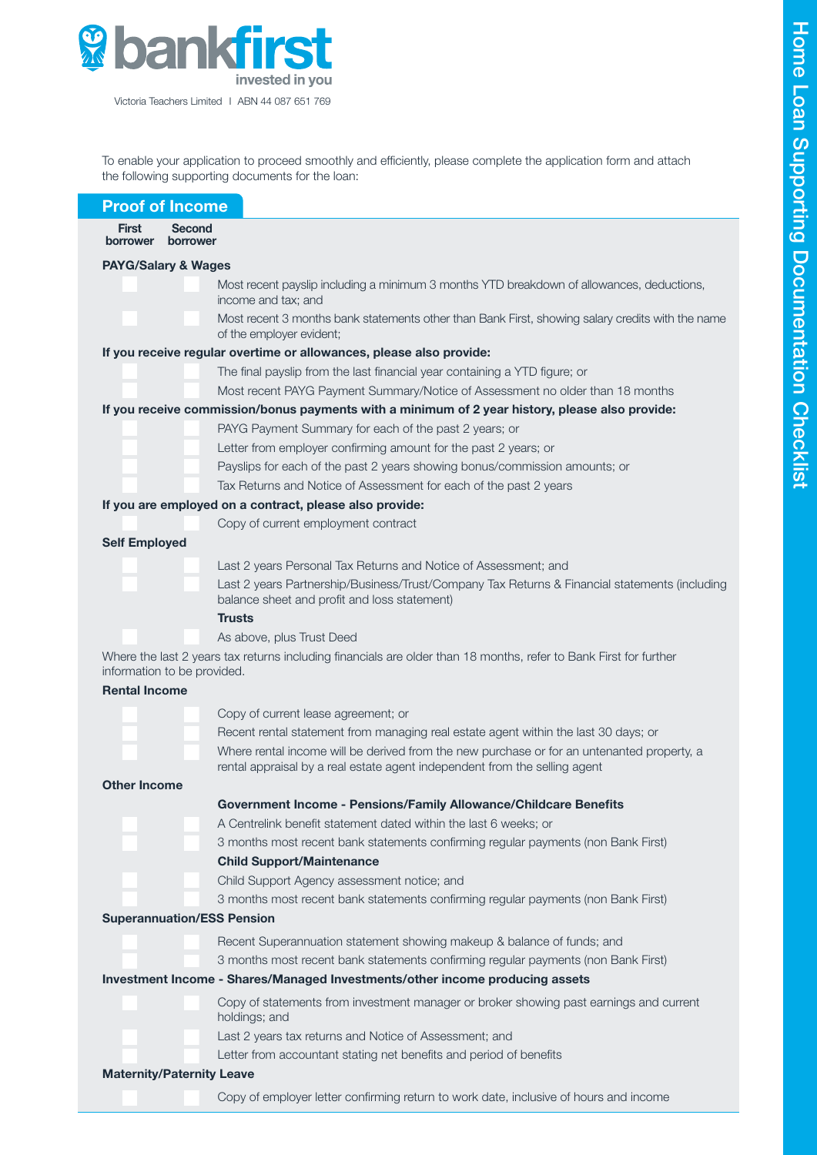

To enable your application to proceed smoothly and efficiently, please complete the application form and attach the following supporting documents for the loan:

| <b>Proof of Income</b>                                                                                                                                                   |
|--------------------------------------------------------------------------------------------------------------------------------------------------------------------------|
| <b>Second</b><br><b>First</b>                                                                                                                                            |
| borrower<br>borrower                                                                                                                                                     |
| <b>PAYG/Salary &amp; Wages</b>                                                                                                                                           |
| Most recent payslip including a minimum 3 months YTD breakdown of allowances, deductions,<br>income and tax; and                                                         |
| Most recent 3 months bank statements other than Bank First, showing salary credits with the name<br>of the employer evident;                                             |
| If you receive regular overtime or allowances, please also provide:                                                                                                      |
| The final payslip from the last financial year containing a YTD figure; or                                                                                               |
| Most recent PAYG Payment Summary/Notice of Assessment no older than 18 months                                                                                            |
| If you receive commission/bonus payments with a minimum of 2 year history, please also provide:                                                                          |
| PAYG Payment Summary for each of the past 2 years; or                                                                                                                    |
| Letter from employer confirming amount for the past 2 years; or                                                                                                          |
| Payslips for each of the past 2 years showing bonus/commission amounts; or                                                                                               |
| Tax Returns and Notice of Assessment for each of the past 2 years                                                                                                        |
| If you are employed on a contract, please also provide:                                                                                                                  |
| Copy of current employment contract                                                                                                                                      |
| <b>Self Employed</b>                                                                                                                                                     |
| Last 2 years Personal Tax Returns and Notice of Assessment; and                                                                                                          |
| Last 2 years Partnership/Business/Trust/Company Tax Returns & Financial statements (including<br>balance sheet and profit and loss statement)                            |
| <b>Trusts</b>                                                                                                                                                            |
| As above, plus Trust Deed                                                                                                                                                |
| Where the last 2 years tax returns including financials are older than 18 months, refer to Bank First for further<br>information to be provided.                         |
| <b>Rental Income</b>                                                                                                                                                     |
| Copy of current lease agreement; or                                                                                                                                      |
| Recent rental statement from managing real estate agent within the last 30 days; or                                                                                      |
| Where rental income will be derived from the new purchase or for an untenanted property, a<br>rental appraisal by a real estate agent independent from the selling agent |
| <b>Other Income</b>                                                                                                                                                      |
| Government Income - Pensions/Family Allowance/Childcare Benefits                                                                                                         |
| A Centrelink benefit statement dated within the last 6 weeks; or                                                                                                         |
| 3 months most recent bank statements confirming regular payments (non Bank First)                                                                                        |
| <b>Child Support/Maintenance</b>                                                                                                                                         |
| Child Support Agency assessment notice; and                                                                                                                              |
| 3 months most recent bank statements confirming regular payments (non Bank First)                                                                                        |
| <b>Superannuation/ESS Pension</b>                                                                                                                                        |
| Recent Superannuation statement showing makeup & balance of funds; and                                                                                                   |
| 3 months most recent bank statements confirming regular payments (non Bank First)                                                                                        |
| Investment Income - Shares/Managed Investments/other income producing assets                                                                                             |
| Copy of statements from investment manager or broker showing past earnings and current<br>holdings; and                                                                  |
| Last 2 years tax returns and Notice of Assessment; and                                                                                                                   |
| Letter from accountant stating net benefits and period of benefits                                                                                                       |
| <b>Maternity/Paternity Leave</b>                                                                                                                                         |
| Copy of employer letter confirming return to work date, inclusive of hours and income                                                                                    |
|                                                                                                                                                                          |